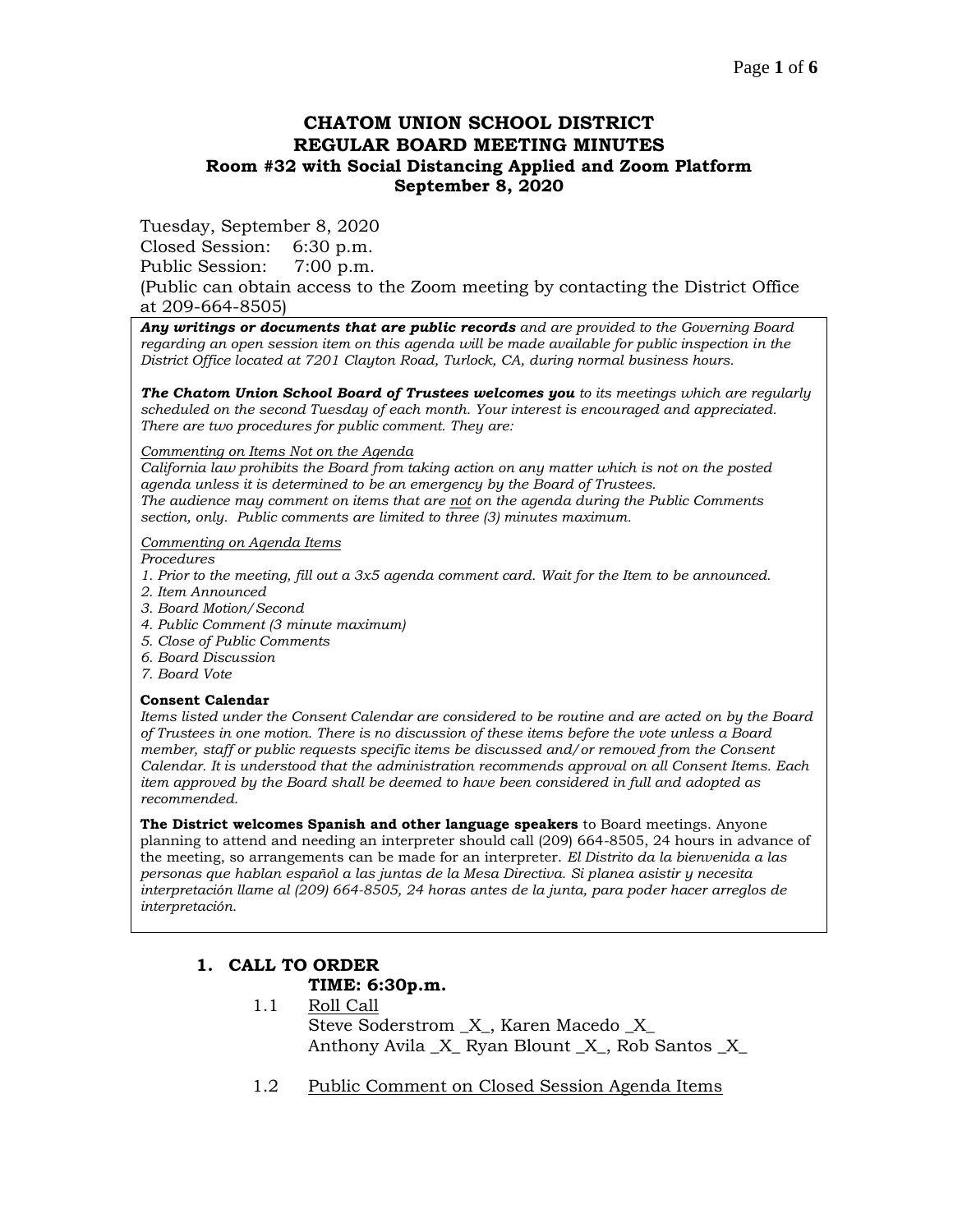### **CHATOM UNION SCHOOL DISTRICT REGULAR BOARD MEETING MINUTES Room #32 with Social Distancing Applied and Zoom Platform September 8, 2020**

Tuesday, September 8, 2020

Closed Session: 6:30 p.m.

Public Session: 7:00 p.m.

(Public can obtain access to the Zoom meeting by contacting the District Office at 209-664-8505)

*Any writings or documents that are public records and are provided to the Governing Board regarding an open session item on this agenda will be made available for public inspection in the District Office located at 7201 Clayton Road, Turlock, CA, during normal business hours.*

*The Chatom Union School Board of Trustees welcomes you to its meetings which are regularly scheduled on the second Tuesday of each month. Your interest is encouraged and appreciated. There are two procedures for public comment. They are:*

#### *Commenting on Items Not on the Agenda*

*California law prohibits the Board from taking action on any matter which is not on the posted agenda unless it is determined to be an emergency by the Board of Trustees. The audience may comment on items that are not on the agenda during the Public Comments section, only. Public comments are limited to three (3) minutes maximum.*

#### *Commenting on Agenda Items*

*Procedures* 

- *1. Prior to the meeting, fill out a 3x5 agenda comment card. Wait for the Item to be announced.*
- *2. Item Announced*
- *3. Board Motion/Second*
- *4. Public Comment (3 minute maximum)*
- *5. Close of Public Comments*
- *6. Board Discussion*
- *7. Board Vote*

#### **Consent Calendar**

*Items listed under the Consent Calendar are considered to be routine and are acted on by the Board of Trustees in one motion. There is no discussion of these items before the vote unless a Board member, staff or public requests specific items be discussed and/or removed from the Consent Calendar. It is understood that the administration recommends approval on all Consent Items. Each item approved by the Board shall be deemed to have been considered in full and adopted as recommended.*

**The District welcomes Spanish and other language speakers** to Board meetings. Anyone planning to attend and needing an interpreter should call (209) 664-8505, 24 hours in advance of the meeting, so arrangements can be made for an interpreter. *El Distrito da la bienvenida a las personas que hablan español a las juntas de la Mesa Directiva. Si planea asistir y necesita interpretación llame al (209) 664-8505, 24 horas antes de la junta, para poder hacer arreglos de interpretación.*

# **1. CALL TO ORDER**

### **TIME: 6:30p.m.**

- 1.1 Roll Call Steve Soderstrom \_X\_, Karen Macedo \_X\_ Anthony Avila X Ryan Blount X, Rob Santos X
- 1.2 Public Comment on Closed Session Agenda Items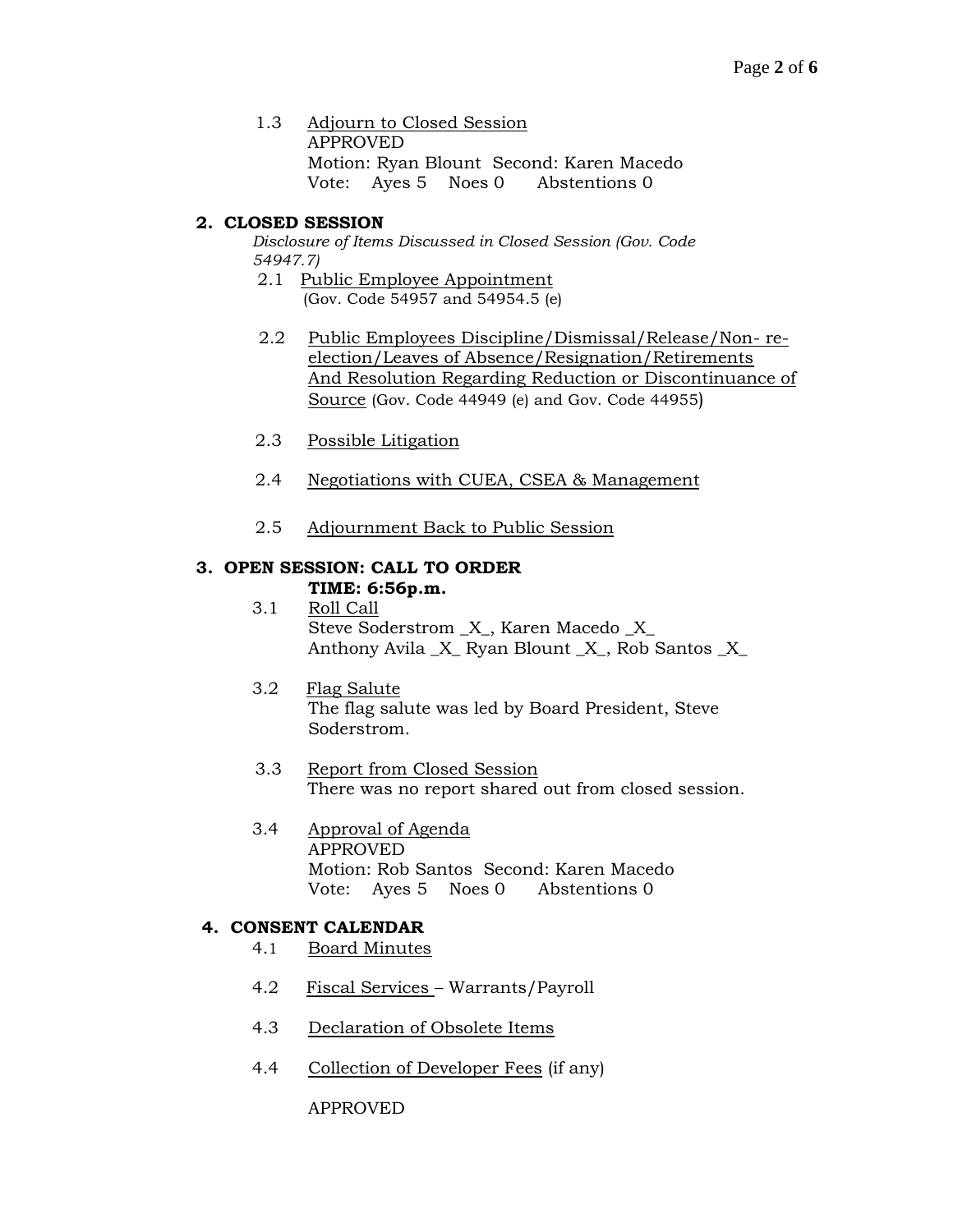1.3 Adjourn to Closed Session APPROVED Motion: Ryan Blount Second: Karen Macedo Vote: Ayes 5 Noes 0 Abstentions 0

### **2. CLOSED SESSION**

*Disclosure of Items Discussed in Closed Session (Gov. Code 54947.7)*

- 2.1 Public Employee Appointment (Gov. Code 54957 and 54954.5 (e)
- 2.2 Public Employees Discipline/Dismissal/Release/Non- reelection/Leaves of Absence/Resignation/Retirements And Resolution Regarding Reduction or Discontinuance of Source (Gov. Code 44949 (e) and Gov. Code 44955)
- 2.3 Possible Litigation
- 2.4 Negotiations with CUEA, CSEA & Management
- 2.5 Adjournment Back to Public Session

### **3. OPEN SESSION: CALL TO ORDER**

### **TIME: 6:56p.m.**

- 3.1 Roll Call Steve Soderstrom \_X\_, Karen Macedo \_X\_ Anthony Avila \_X\_ Ryan Blount \_X\_, Rob Santos \_X\_
- 3.2 Flag Salute The flag salute was led by Board President, Steve Soderstrom.
- 3.3 Report from Closed Session There was no report shared out from closed session.
- 3.4 Approval of Agenda APPROVED Motion: Rob Santos Second: Karen Macedo Vote: Ayes 5 Noes 0 Abstentions 0

### **4. CONSENT CALENDAR**

- 4.1 Board Minutes
- 4.2 Fiscal Services Warrants/Payroll
- 4.3 Declaration of Obsolete Items
- 4.4 Collection of Developer Fees (if any)

APPROVED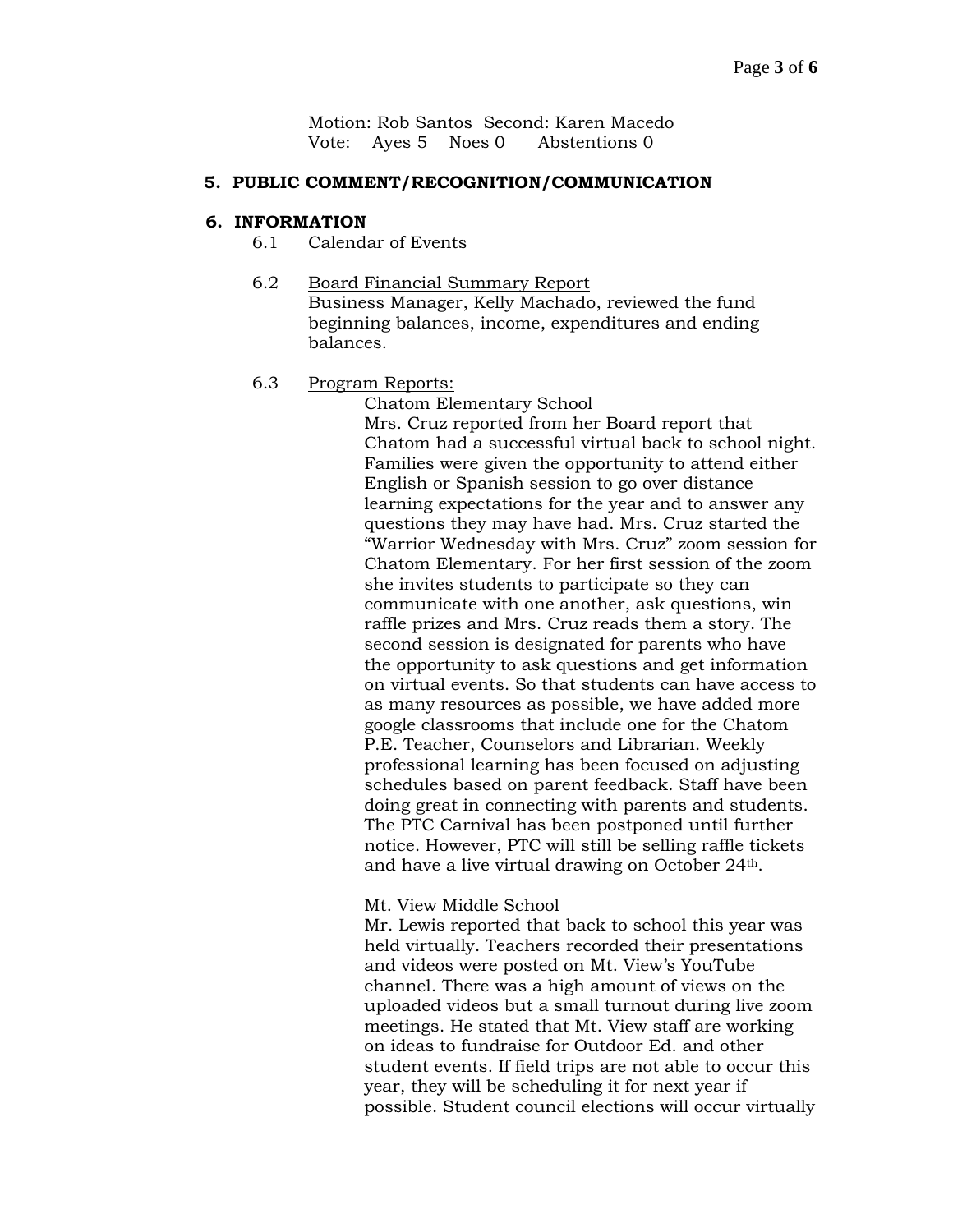Motion: Rob Santos Second: Karen Macedo Vote: Ayes 5 Noes 0 Abstentions 0

#### **5. PUBLIC COMMENT/RECOGNITION/COMMUNICATION**

#### **6. INFORMATION**

- 6.1 Calendar of Events
- 6.2 Board Financial Summary Report Business Manager, Kelly Machado, reviewed the fund beginning balances, income, expenditures and ending balances.

#### 6.3 Program Reports:

Chatom Elementary School Mrs. Cruz reported from her Board report that Chatom had a successful virtual back to school night. Families were given the opportunity to attend either English or Spanish session to go over distance learning expectations for the year and to answer any questions they may have had. Mrs. Cruz started the "Warrior Wednesday with Mrs. Cruz" zoom session for Chatom Elementary. For her first session of the zoom she invites students to participate so they can communicate with one another, ask questions, win raffle prizes and Mrs. Cruz reads them a story. The second session is designated for parents who have the opportunity to ask questions and get information on virtual events. So that students can have access to as many resources as possible, we have added more google classrooms that include one for the Chatom P.E. Teacher, Counselors and Librarian. Weekly professional learning has been focused on adjusting schedules based on parent feedback. Staff have been doing great in connecting with parents and students. The PTC Carnival has been postponed until further notice. However, PTC will still be selling raffle tickets and have a live virtual drawing on October 24th.

#### Mt. View Middle School

Mr. Lewis reported that back to school this year was held virtually. Teachers recorded their presentations and videos were posted on Mt. View's YouTube channel. There was a high amount of views on the uploaded videos but a small turnout during live zoom meetings. He stated that Mt. View staff are working on ideas to fundraise for Outdoor Ed. and other student events. If field trips are not able to occur this year, they will be scheduling it for next year if possible. Student council elections will occur virtually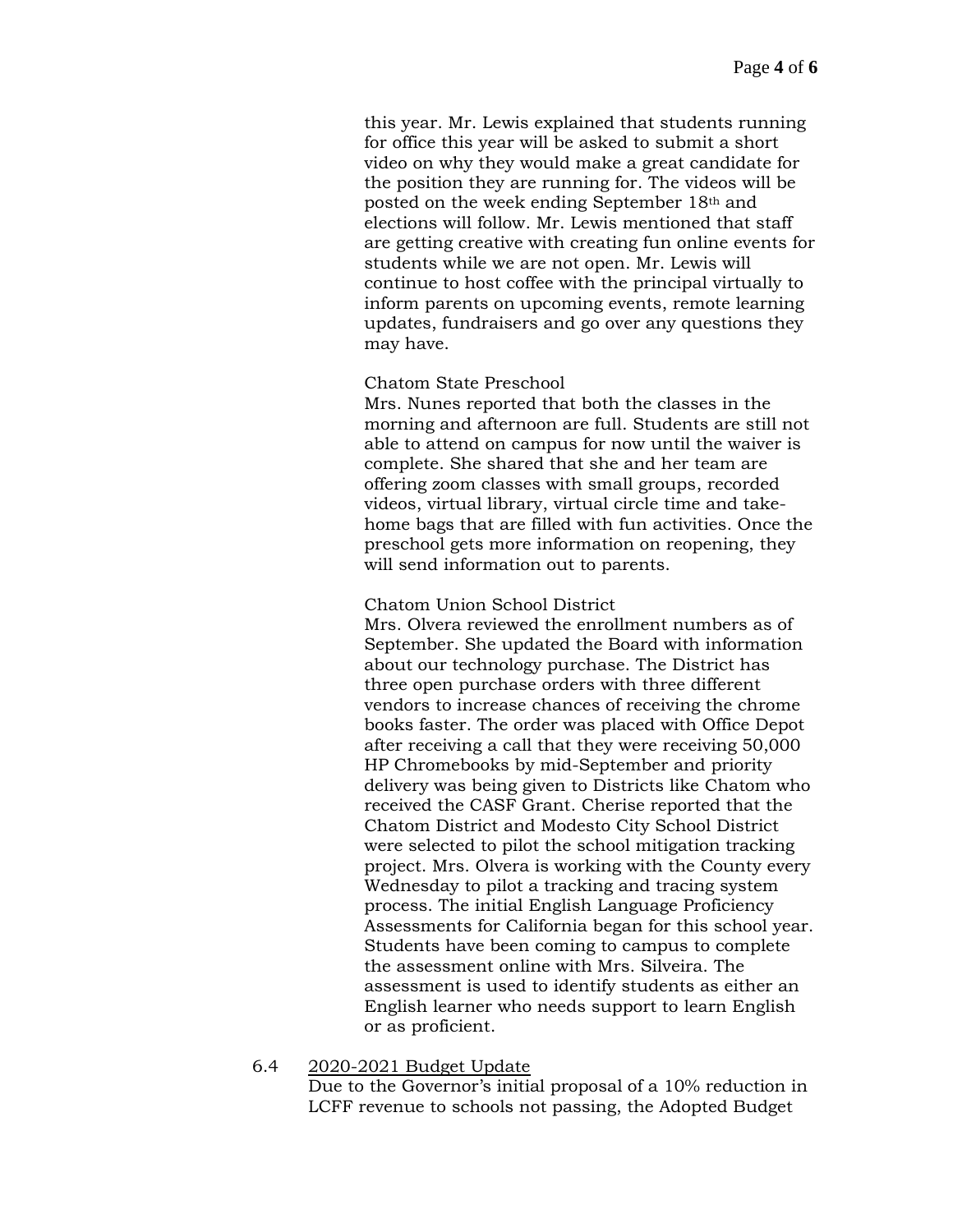this year. Mr. Lewis explained that students running for office this year will be asked to submit a short video on why they would make a great candidate for the position they are running for. The videos will be posted on the week ending September 18th and elections will follow. Mr. Lewis mentioned that staff are getting creative with creating fun online events for students while we are not open. Mr. Lewis will continue to host coffee with the principal virtually to inform parents on upcoming events, remote learning updates, fundraisers and go over any questions they may have.

#### Chatom State Preschool

Mrs. Nunes reported that both the classes in the morning and afternoon are full. Students are still not able to attend on campus for now until the waiver is complete. She shared that she and her team are offering zoom classes with small groups, recorded videos, virtual library, virtual circle time and takehome bags that are filled with fun activities. Once the preschool gets more information on reopening, they will send information out to parents.

#### Chatom Union School District

Mrs. Olvera reviewed the enrollment numbers as of September. She updated the Board with information about our technology purchase. The District has three open purchase orders with three different vendors to increase chances of receiving the chrome books faster. The order was placed with Office Depot after receiving a call that they were receiving 50,000 HP Chromebooks by mid-September and priority delivery was being given to Districts like Chatom who received the CASF Grant. Cherise reported that the Chatom District and Modesto City School District were selected to pilot the school mitigation tracking project. Mrs. Olvera is working with the County every Wednesday to pilot a tracking and tracing system process. The initial English Language Proficiency Assessments for California began for this school year. Students have been coming to campus to complete the assessment online with Mrs. Silveira. The assessment is used to identify students as either an English learner who needs support to learn English or as proficient.

#### 6.4 2020-2021 Budget Update

Due to the Governor's initial proposal of a 10% reduction in LCFF revenue to schools not passing, the Adopted Budget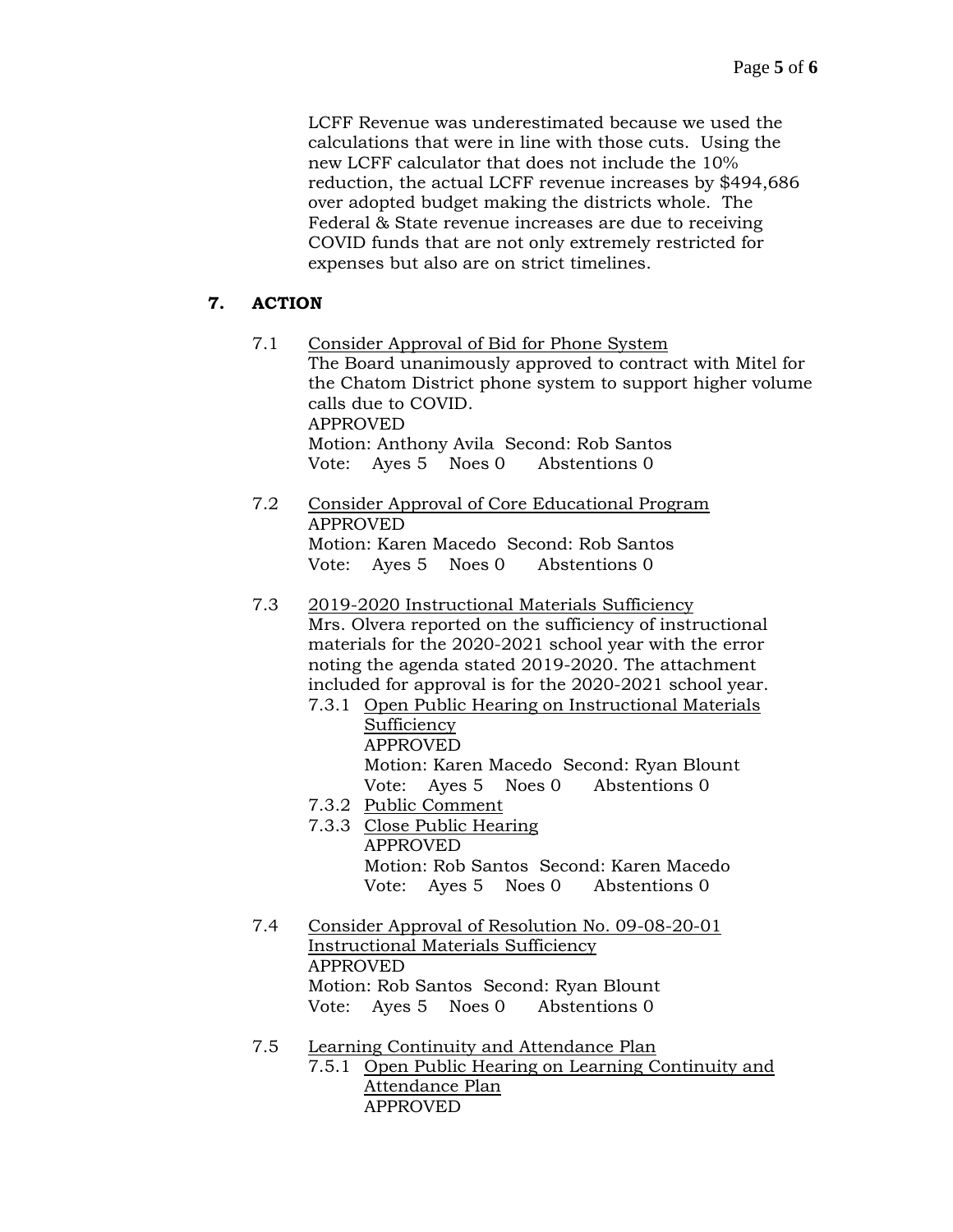LCFF Revenue was underestimated because we used the calculations that were in line with those cuts. Using the new LCFF calculator that does not include the 10% reduction, the actual LCFF revenue increases by \$494,686 over adopted budget making the districts whole. The Federal & State revenue increases are due to receiving COVID funds that are not only extremely restricted for expenses but also are on strict timelines.

## **7. ACTION**

- 7.1 Consider Approval of Bid for Phone System The Board unanimously approved to contract with Mitel for the Chatom District phone system to support higher volume calls due to COVID. APPROVED Motion: Anthony Avila Second: Rob Santos Vote: Ayes 5 Noes 0 Abstentions 0
- 7.2 Consider Approval of Core Educational Program APPROVED Motion: Karen Macedo Second: Rob Santos Vote: Ayes 5 Noes 0 Abstentions 0
- 7.3 2019-2020 Instructional Materials Sufficiency Mrs. Olvera reported on the sufficiency of instructional materials for the 2020-2021 school year with the error noting the agenda stated 2019-2020. The attachment included for approval is for the 2020-2021 school year.
	- 7.3.1 Open Public Hearing on Instructional Materials Sufficiency APPROVED Motion: Karen Macedo Second: Ryan Blount Vote: Ayes 5 Noes 0 Abstentions 0
	- 7.3.2 Public Comment
	- 7.3.3 Close Public Hearing APPROVED Motion: Rob Santos Second: Karen Macedo Vote: Ayes 5 Noes 0 Abstentions 0
- 7.4 Consider Approval of Resolution No. 09-08-20-01 Instructional Materials Sufficiency APPROVED Motion: Rob Santos Second: Ryan Blount Vote: Ayes 5 Noes 0 Abstentions 0
- 7.5 Learning Continuity and Attendance Plan 7.5.1 Open Public Hearing on Learning Continuity and Attendance Plan APPROVED